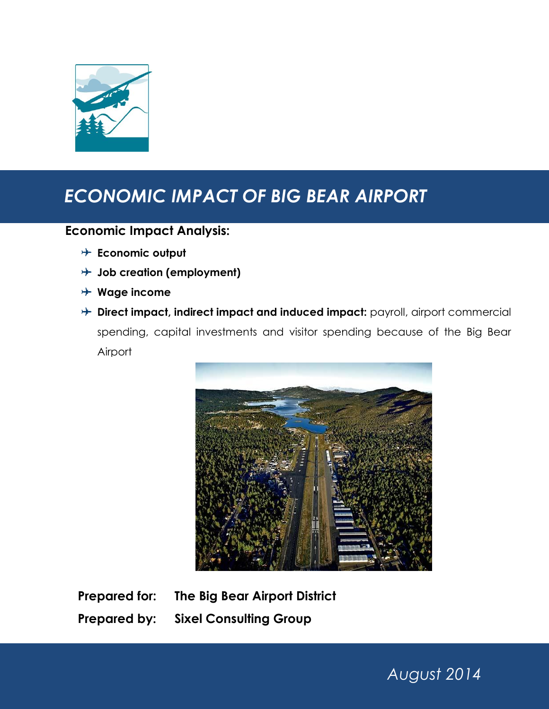

# *ECONOMIC IMPACT OF BIG BEAR AIRPORT*

# **Economic Impact Analysis:**

- **Economic output**
- **Job creation (employment)**
- **Wage income**
- **Direct impact, indirect impact and induced impact:** payroll, airport commercial spending, capital investments and visitor spending because of the Big Bear Airport



**Prepared for: The Big Bear Airport District Prepared by: Sixel Consulting Group**

*August 2014*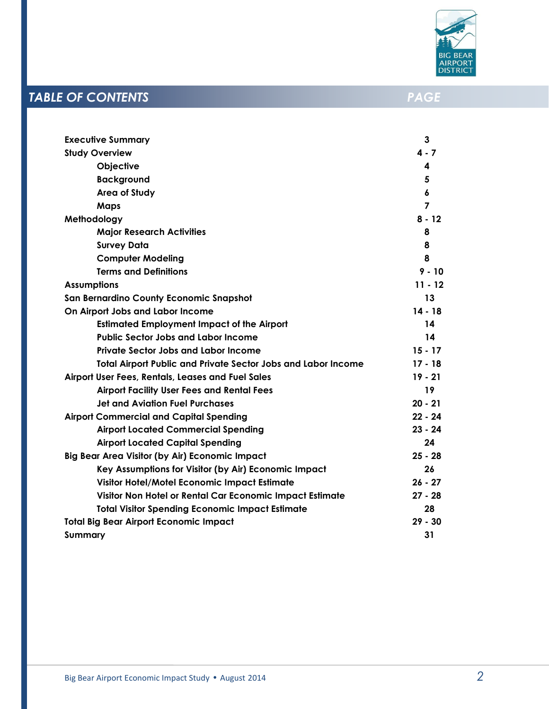

# **TABLE OF CONTENTS** *PAGE*

| <b>Executive Summary</b>                                             | 3         |
|----------------------------------------------------------------------|-----------|
| <b>Study Overview</b>                                                | $4 - 7$   |
| Objective                                                            | 4         |
| <b>Background</b>                                                    | 5         |
| <b>Area of Study</b>                                                 | 6         |
| <b>Maps</b>                                                          | 7         |
| Methodology                                                          | $8 - 12$  |
| <b>Major Research Activities</b>                                     | 8         |
| <b>Survey Data</b>                                                   | 8         |
| <b>Computer Modeling</b>                                             | 8         |
| <b>Terms and Definitions</b>                                         | $9 - 10$  |
| <b>Assumptions</b>                                                   | $11 - 12$ |
| San Bernardino County Economic Snapshot                              | 13        |
| On Airport Jobs and Labor Income                                     | $14 - 18$ |
| <b>Estimated Employment Impact of the Airport</b>                    | 14        |
| <b>Public Sector Jobs and Labor Income</b>                           | 14        |
| <b>Private Sector Jobs and Labor Income</b>                          | $15 - 17$ |
| <b>Total Airport Public and Private Sector Jobs and Labor Income</b> | $17 - 18$ |
| Airport User Fees, Rentals, Leases and Fuel Sales                    | $19 - 21$ |
| <b>Airport Facility User Fees and Rental Fees</b>                    | 19        |
| <b>Jet and Aviation Fuel Purchases</b>                               | $20 - 21$ |
| <b>Airport Commercial and Capital Spending</b>                       | $22 - 24$ |
| <b>Airport Located Commercial Spending</b>                           | $23 - 24$ |
| <b>Airport Located Capital Spending</b>                              | 24        |
| <b>Big Bear Area Visitor (by Air) Economic Impact</b>                | $25 - 28$ |
| Key Assumptions for Visitor (by Air) Economic Impact                 | 26        |
| Visitor Hotel/Motel Economic Impact Estimate                         | $26 - 27$ |
| Visitor Non Hotel or Rental Car Economic Impact Estimate             | $27 - 28$ |
| <b>Total Visitor Spending Economic Impact Estimate</b>               | 28        |
| <b>Total Big Bear Airport Economic Impact</b>                        | $29 - 30$ |
| Summary                                                              | 31        |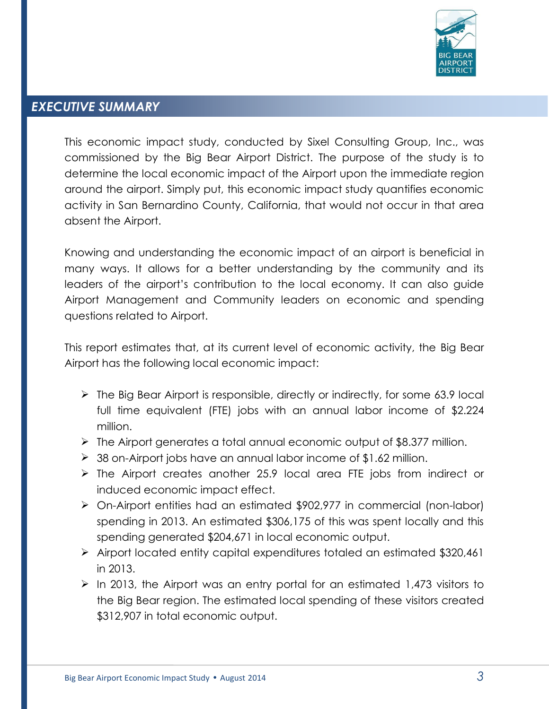

# *EXECUTIVE SUMMARY*

This economic impact study, conducted by Sixel Consulting Group, Inc., was commissioned by the Big Bear Airport District. The purpose of the study is to determine the local economic impact of the Airport upon the immediate region around the airport. Simply put, this economic impact study quantifies economic activity in San Bernardino County, California, that would not occur in that area absent the Airport.

Knowing and understanding the economic impact of an airport is beneficial in many ways. It allows for a better understanding by the community and its leaders of the airport's contribution to the local economy. It can also guide Airport Management and Community leaders on economic and spending questions related to Airport.

This report estimates that, at its current level of economic activity, the Big Bear Airport has the following local economic impact:

- $\triangleright$  The Big Bear Airport is responsible, directly or indirectly, for some 63.9 local full time equivalent (FTE) jobs with an annual labor income of \$2.224 million.
- $\triangleright$  The Airport generates a total annual economic output of \$8.377 million.
- 38 on-Airport jobs have an annual labor income of \$1.62 million.
- $\triangleright$  The Airport creates another 25.9 local area FTE jobs from indirect or induced economic impact effect.
- On-Airport entities had an estimated \$902,977 in commercial (non-labor) spending in 2013. An estimated \$306,175 of this was spent locally and this spending generated \$204,671 in local economic output.
- $\triangleright$  Airport located entity capital expenditures totaled an estimated \$320,461 in 2013.
- $\ge$  In 2013, the Airport was an entry portal for an estimated 1,473 visitors to the Big Bear region. The estimated local spending of these visitors created \$312,907 in total economic output.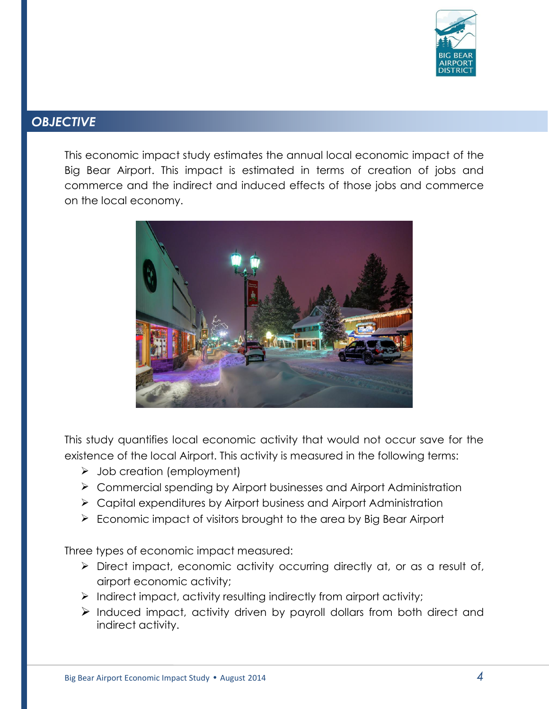

# *OBJECTIVE*

This economic impact study estimates the annual local economic impact of the Big Bear Airport. This impact is estimated in terms of creation of jobs and commerce and the indirect and induced effects of those jobs and commerce on the local economy.



This study quantifies local economic activity that would not occur save for the existence of the local Airport. This activity is measured in the following terms:

- $\triangleright$  Job creation (employment)
- Commercial spending by Airport businesses and Airport Administration
- $\triangleright$  Capital expenditures by Airport business and Airport Administration
- $\triangleright$  Economic impact of visitors brought to the area by Big Bear Airport

Three types of economic impact measured:

- Direct impact, economic activity occurring directly at, or as a result of, airport economic activity;
- $\triangleright$  Indirect impact, activity resulting indirectly from airport activity;
- $\triangleright$  Induced impact, activity driven by payroll dollars from both direct and indirect activity.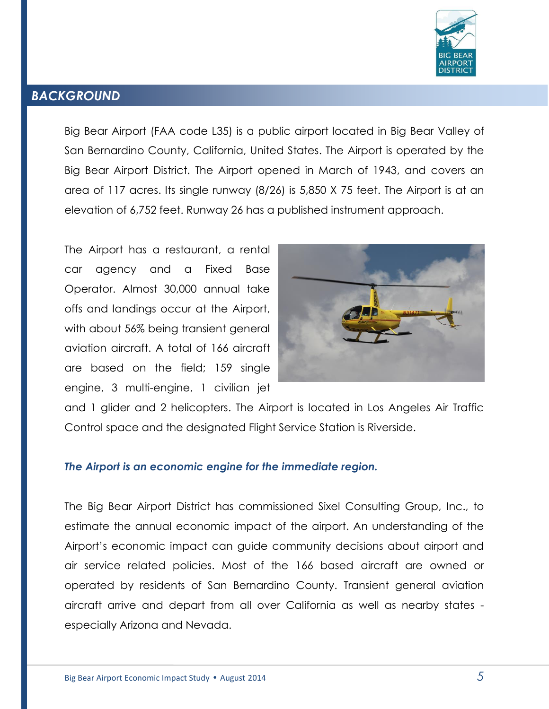

### *BACKGROUND*

Big Bear Airport [\(FAA](http://en.wikipedia.org/wiki/Federal_Aviation_Administration) code L35) is a public [airport](http://en.wikipedia.org/wiki/Airport) located in [Big Bear Valley](http://en.wikipedia.org/wiki/Big_Bear_City,_California) of [San Bernardino County,](http://en.wikipedia.org/wiki/San_Bernardino_County,_California) [California,](http://en.wikipedia.org/wiki/California) [United States.](http://en.wikipedia.org/wiki/United_States) The Airport is operated by the Big Bear Airport District. The Airport opened in March of 1943, and covers an area of 117 acres. Its single runway (8/26) is 5,850 X 75 feet. The Airport is at an elevation of 6,752 feet. Runway 26 has a published instrument approach.

The Airport has a restaurant, a rental car agency and a Fixed Base Operator. Almost 30,000 annual take offs and landings occur at the Airport, with about 56% being transient general aviation aircraft. A total of 166 aircraft are based on the field; 159 single engine, 3 multi-engine, 1 civilian jet



and 1 glider and 2 helicopters. The Airport is located in Los Angeles Air Traffic Control space and the designated Flight Service Station is Riverside.

#### *The Airport is an economic engine for the immediate region.*

The Big Bear Airport District has commissioned Sixel Consulting Group, Inc., to estimate the annual economic impact of the airport. An understanding of the Airport's economic impact can guide community decisions about airport and air service related policies. Most of the 166 based aircraft are owned or operated by residents of San Bernardino County. Transient general aviation aircraft arrive and depart from all over California as well as nearby states especially Arizona and Nevada.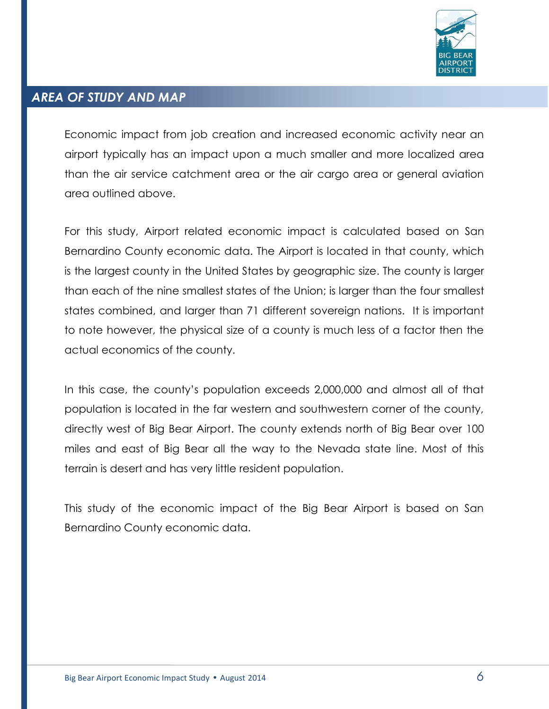

#### *AREA OF STUDY AND MAP*

Economic impact from job creation and increased economic activity near an airport typically has an impact upon a much smaller and more localized area than the air service catchment area or the air cargo area or general aviation area outlined above.

For this study, Airport related economic impact is calculated based on San Bernardino County economic data. The Airport is located in that county, which is the largest county in the United States by geographic size. The county is larger than each of the nine smallest states of the Union; is larger than the four smallest states combined, and larger than 71 different sovereign nations. It is important to note however, the physical size of a county is much less of a factor then the actual economics of the county.

In this case, the county's population exceeds 2,000,000 and almost all of that population is located in the far western and southwestern corner of the county, directly west of Big Bear Airport. The county extends north of Big Bear over 100 miles and east of Big Bear all the way to the Nevada state line. Most of this terrain is desert and has very little resident population.

This study of the economic impact of the Big Bear Airport is based on San Bernardino County economic data.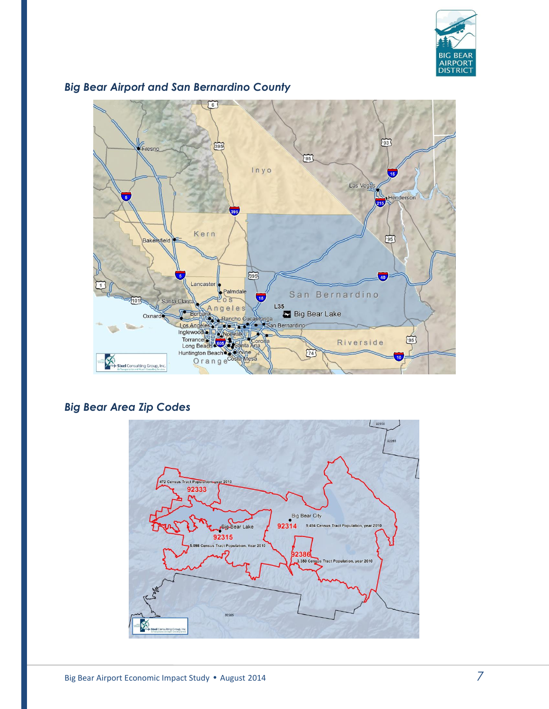



## *Big Bear Airport and San Bernardino County*

# *Big Bear Area Zip Codes*

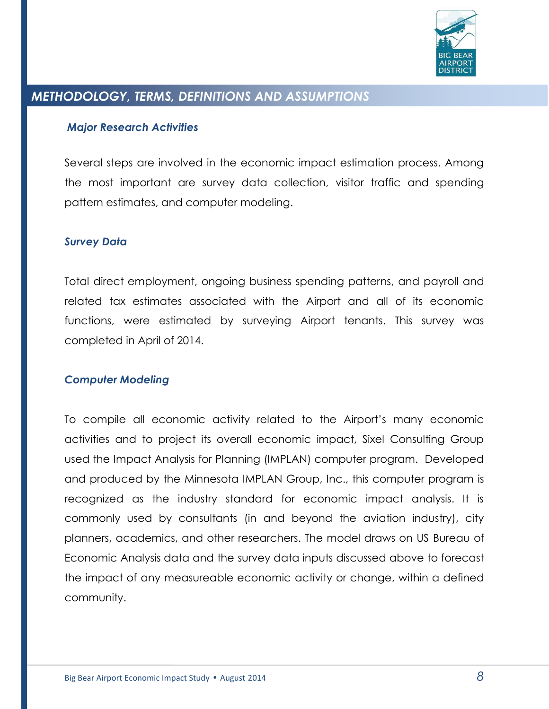

# *METHODOLOGY, TERMS, DEFINITIONS AND ASSUMPTIONS*

#### *Major Research Activities*

Several steps are involved in the economic impact estimation process. Among the most important are survey data collection, visitor traffic and spending pattern estimates, and computer modeling.

#### *Survey Data*

Total direct employment, ongoing business spending patterns, and payroll and related tax estimates associated with the Airport and all of its economic functions, were estimated by surveying Airport tenants. This survey was completed in April of 2014.

#### *Computer Modeling*

To compile all economic activity related to the Airport's many economic activities and to project its overall economic impact, Sixel Consulting Group used the Impact Analysis for Planning (IMPLAN) computer program. Developed and produced by the Minnesota IMPLAN Group, Inc., this computer program is recognized as the industry standard for economic impact analysis. It is commonly used by consultants (in and beyond the aviation industry), city planners, academics, and other researchers. The model draws on US Bureau of Economic Analysis data and the survey data inputs discussed above to forecast the impact of any measureable economic activity or change, within a defined community.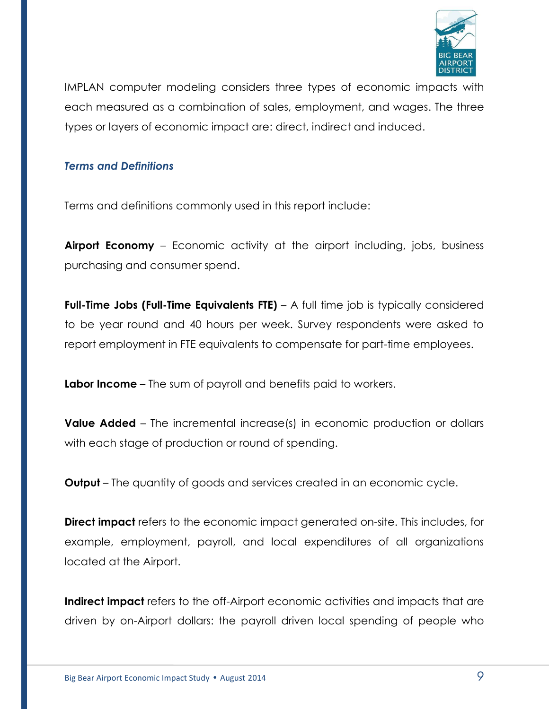

IMPLAN computer modeling considers three types of economic impacts with each measured as a combination of sales, employment, and wages. The three types or layers of economic impact are: direct, indirect and induced.

#### *Terms and Definitions*

Terms and definitions commonly used in this report include:

**Airport Economy** – Economic activity at the airport including, jobs, business purchasing and consumer spend.

**Full-Time Jobs (Full-Time Equivalents FTE)** – A full time job is typically considered to be year round and 40 hours per week. Survey respondents were asked to report employment in FTE equivalents to compensate for part-time employees.

**Labor Income** – The sum of payroll and benefits paid to workers.

**Value Added** – The incremental increase(s) in economic production or dollars with each stage of production or round of spending.

**Output** – The quantity of goods and services created in an economic cycle.

**Direct impact** refers to the economic impact generated on-site. This includes, for example, employment, payroll, and local expenditures of all organizations located at the Airport.

**Indirect impact** refers to the off-Airport economic activities and impacts that are driven by on-Airport dollars: the payroll driven local spending of people who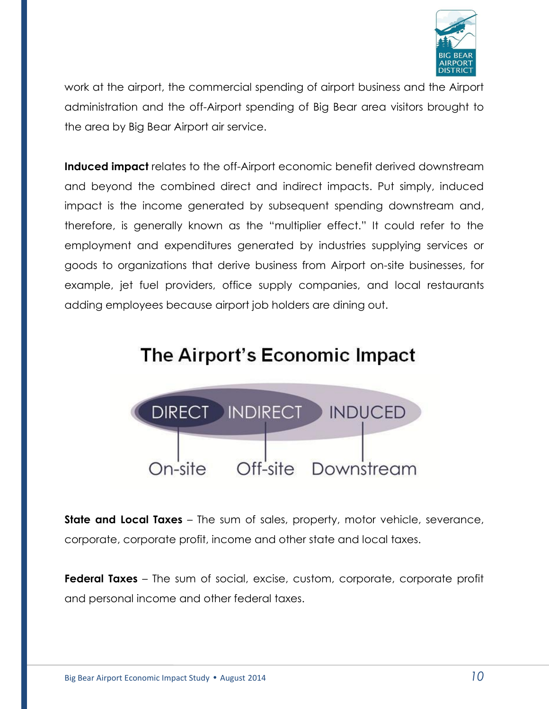

work at the airport, the commercial spending of airport business and the Airport administration and the off-Airport spending of Big Bear area visitors brought to the area by Big Bear Airport air service.

**Induced impact** relates to the off-Airport economic benefit derived downstream and beyond the combined direct and indirect impacts. Put simply, induced impact is the income generated by subsequent spending downstream and, therefore, is generally known as the "multiplier effect." It could refer to the employment and expenditures generated by industries supplying services or goods to organizations that derive business from Airport on-site businesses, for example, jet fuel providers, office supply companies, and local restaurants adding employees because airport job holders are dining out.

# The Airport's Economic Impact



**State and Local Taxes** – The sum of sales, property, motor vehicle, severance, corporate, corporate profit, income and other state and local taxes.

**Federal Taxes** – The sum of social, excise, custom, corporate, corporate profit and personal income and other federal taxes.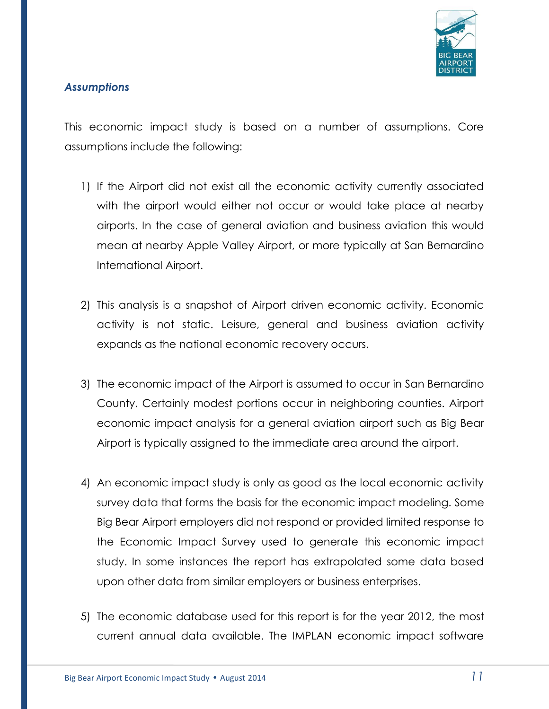

#### *Assumptions*

This economic impact study is based on a number of assumptions. Core assumptions include the following:

- 1) If the Airport did not exist all the economic activity currently associated with the airport would either not occur or would take place at nearby airports. In the case of general aviation and business aviation this would mean at nearby Apple Valley Airport, or more typically at San Bernardino International Airport.
- 2) This analysis is a snapshot of Airport driven economic activity. Economic activity is not static. Leisure, general and business aviation activity expands as the national economic recovery occurs.
- 3) The economic impact of the Airport is assumed to occur in San Bernardino County. Certainly modest portions occur in neighboring counties. Airport economic impact analysis for a general aviation airport such as Big Bear Airport is typically assigned to the immediate area around the airport.
- 4) An economic impact study is only as good as the local economic activity survey data that forms the basis for the economic impact modeling. Some Big Bear Airport employers did not respond or provided limited response to the Economic Impact Survey used to generate this economic impact study. In some instances the report has extrapolated some data based upon other data from similar employers or business enterprises.
- 5) The economic database used for this report is for the year 2012, the most current annual data available. The IMPLAN economic impact software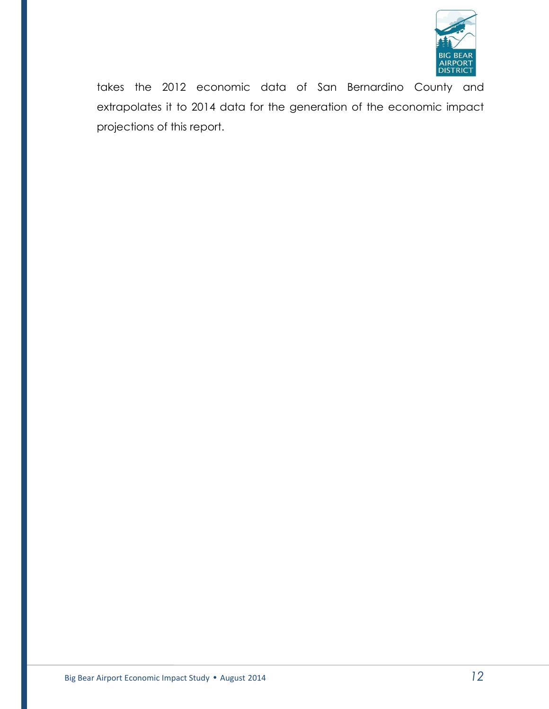

takes the 2012 economic data of San Bernardino County and extrapolates it to 2014 data for the generation of the economic impact projections of this report.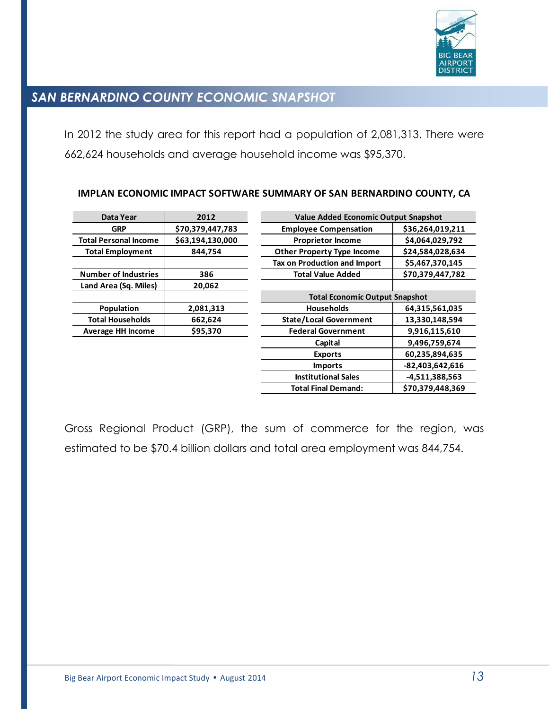

# *SAN BERNARDINO COUNTY ECONOMIC SNAPSHOT*

In 2012 the study area for this report had a population of 2,081,313. There were 662,624 households and average household income was \$95,370.

| Data Year                    | 2012             | <b>Value Added Economic Output Snapshot</b>    |                  |  |
|------------------------------|------------------|------------------------------------------------|------------------|--|
| <b>GRP</b>                   | \$70,379,447,783 | <b>Employee Compensation</b>                   | \$36,264,019,211 |  |
| <b>Total Personal Income</b> | \$63,194,130,000 | <b>Proprietor Income</b>                       | \$4,064,029,792  |  |
| <b>Total Employment</b>      | 844,754          | <b>Other Property Type Income</b>              | \$24,584,028,634 |  |
|                              |                  | Tax on Production and Import                   | \$5,467,370,145  |  |
| <b>Number of Industries</b>  | 386              | <b>Total Value Added</b>                       | \$70,379,447,782 |  |
| Land Area (Sq. Miles)        | 20,062           |                                                |                  |  |
|                              |                  | <b>Total Economic Output Snapshot</b>          |                  |  |
| Population                   | 2,081,313        | <b>Households</b>                              | 64,315,561,035   |  |
| <b>Total Households</b>      | 662,624          | <b>State/Local Government</b>                  | 13,330,148,594   |  |
| Average HH Income            | \$95,370         | <b>Federal Government</b>                      | 9,916,115,610    |  |
|                              |                  | Capital                                        | 9,496,759,674    |  |
|                              |                  | <b>Exports</b>                                 | 60,235,894,635   |  |
|                              |                  | <b>Imports</b>                                 | -82,403,642,616  |  |
|                              |                  | <b>Institutional Sales</b><br>-4,511,388,563   |                  |  |
|                              |                  | \$70,379,448,369<br><b>Total Final Demand:</b> |                  |  |

#### **IMPLAN ECONOMIC IMPACT SOFTWARE SUMMARY OF SAN BERNARDINO COUNTY, CA**

Gross Regional Product (GRP), the sum of commerce for the region, was estimated to be \$70.4 billion dollars and total area employment was 844,754.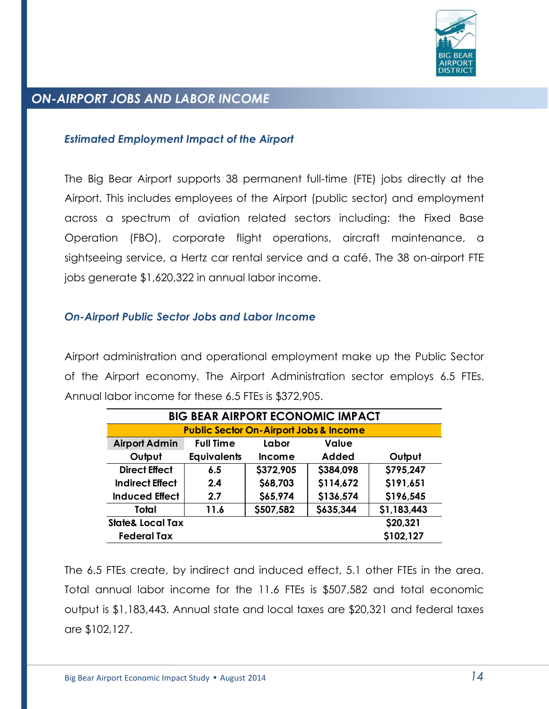

## *ON-AIRPORT JOBS AND LABOR INCOME*

#### *Estimated Employment Impact of the Airport*

The Big Bear Airport supports 38 permanent full-time (FTE) jobs directly at the Airport. This includes employees of the Airport (public sector) and employment across a spectrum of aviation related sectors including: the Fixed Base Operation (FBO), corporate flight operations, aircraft maintenance, a sightseeing service, a Hertz car rental service and a café. The 38 on-airport FTE jobs generate \$1,620,322 in annual labor income.

#### *On-Airport Public Sector Jobs and Labor Income*

Airport administration and operational employment make up the Public Sector of the Airport economy. The Airport Administration sector employs 6.5 FTEs. Annual labor income for these 6.5 FTEs is \$372,905.

| <b>BIG BEAR AIRPORT ECONOMIC IMPACT</b> |                                                   |               |              |             |  |
|-----------------------------------------|---------------------------------------------------|---------------|--------------|-------------|--|
|                                         | <b>Public Sector On-Airport Jobs &amp; Income</b> |               |              |             |  |
| <b>Airport Admin</b>                    | <b>Full Time</b>                                  | Labor         | <b>Value</b> |             |  |
| Output                                  | <b>Equivalents</b>                                | <b>Income</b> | <b>Added</b> | Output      |  |
| <b>Direct Effect</b>                    | 6.5                                               | \$372,905     | \$384,098    | \$795,247   |  |
| <b>Indirect Effect</b>                  | 2.4                                               | \$68,703      | \$114,672    | \$191,651   |  |
| <b>Induced Effect</b>                   | 2.7                                               | \$65,974      | \$136,574    | \$196,545   |  |
| Total                                   | 11.6                                              | \$507,582     | \$635,344    | \$1,183,443 |  |
| \$20,321<br><b>State&amp; Local Tax</b> |                                                   |               |              |             |  |
| <b>Federal Tax</b>                      |                                                   |               |              | \$102,127   |  |

The 6.5 FTEs create, by indirect and induced effect, 5.1 other FTEs in the area. Total annual labor income for the 11.6 FTEs is \$507,582 and total economic output is \$1,183,443. Annual state and local taxes are \$20,321 and federal taxes are \$102,127.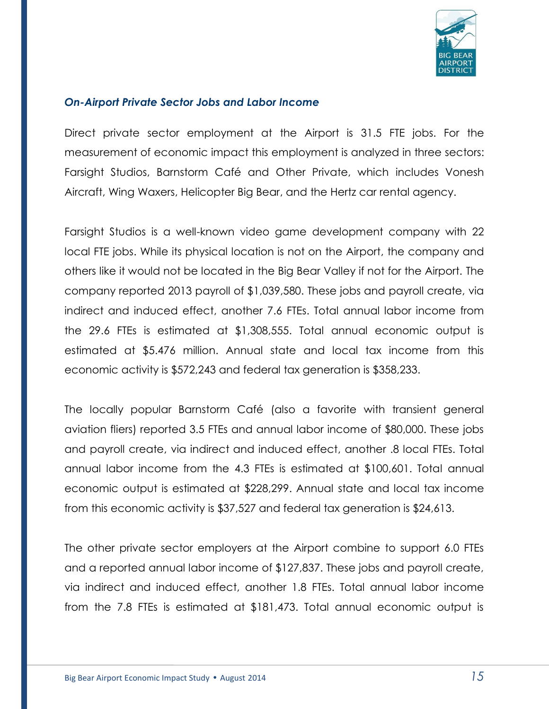

#### *On-Airport Private Sector Jobs and Labor Income*

Direct private sector employment at the Airport is 31.5 FTE jobs. For the measurement of economic impact this employment is analyzed in three sectors: Farsight Studios, Barnstorm Café and Other Private, which includes Vonesh Aircraft, Wing Waxers, Helicopter Big Bear, and the Hertz car rental agency.

Farsight Studios is a well-known video game development company with 22 local FTE jobs. While its physical location is not on the Airport, the company and others like it would not be located in the Big Bear Valley if not for the Airport. The company reported 2013 payroll of \$1,039,580. These jobs and payroll create, via indirect and induced effect, another 7.6 FTEs. Total annual labor income from the 29.6 FTEs is estimated at \$1,308,555. Total annual economic output is estimated at \$5.476 million. Annual state and local tax income from this economic activity is \$572,243 and federal tax generation is \$358,233.

The locally popular Barnstorm Café (also a favorite with transient general aviation fliers) reported 3.5 FTEs and annual labor income of \$80,000. These jobs and payroll create, via indirect and induced effect, another .8 local FTEs. Total annual labor income from the 4.3 FTEs is estimated at \$100,601. Total annual economic output is estimated at \$228,299. Annual state and local tax income from this economic activity is \$37,527 and federal tax generation is \$24,613.

The other private sector employers at the Airport combine to support 6.0 FTEs and a reported annual labor income of \$127,837. These jobs and payroll create, via indirect and induced effect, another 1.8 FTEs. Total annual labor income from the 7.8 FTEs is estimated at \$181,473. Total annual economic output is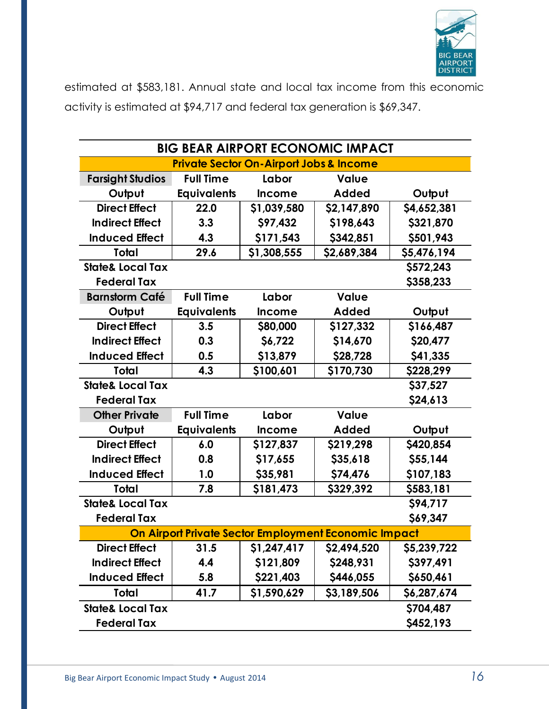

estimated at \$583,181. Annual state and local tax income from this economic activity is estimated at \$94,717 and federal tax generation is \$69,347.

| <b>BIG BEAR AIRPORT ECONOMIC IMPACT</b>              |                    |                                                    |              |             |  |
|------------------------------------------------------|--------------------|----------------------------------------------------|--------------|-------------|--|
|                                                      |                    | <b>Private Sector On-Airport Jobs &amp; Income</b> |              |             |  |
| <b>Farsight Studios</b>                              | <b>Full Time</b>   | Labor                                              | <b>Value</b> |             |  |
| Output                                               | <b>Equivalents</b> | <b>Income</b>                                      | <b>Added</b> | Output      |  |
| <b>Direct Effect</b>                                 | 22.0               | \$1,039,580                                        | \$2,147,890  | \$4,652,381 |  |
| <b>Indirect Effect</b>                               | 3.3                | \$97,432                                           | \$198,643    | \$321,870   |  |
| <b>Induced Effect</b>                                | 4.3                | \$171,543                                          | \$342,851    | \$501,943   |  |
| <b>Total</b>                                         | 29.6               | \$1,308,555                                        | \$2,689,384  | \$5,476,194 |  |
| <b>State&amp; Local Tax</b>                          |                    |                                                    |              | \$572,243   |  |
| <b>Federal Tax</b>                                   |                    |                                                    |              | \$358,233   |  |
| <b>Barnstorm Café</b>                                | <b>Full Time</b>   | Labor                                              | Value        |             |  |
| Output                                               | <b>Equivalents</b> | <b>Income</b>                                      | <b>Added</b> | Output      |  |
| <b>Direct Effect</b>                                 | 3.5                | \$80,000                                           | \$127,332    | \$166,487   |  |
| <b>Indirect Effect</b>                               | 0.3                | \$6,722                                            | \$14,670     | \$20,477    |  |
| <b>Induced Effect</b>                                | 0.5                | \$13,879                                           | \$28,728     | \$41,335    |  |
| Total                                                | 4.3                | \$100,601                                          | \$170,730    | \$228,299   |  |
| <b>State&amp; Local Tax</b>                          |                    |                                                    |              | \$37,527    |  |
| <b>Federal Tax</b>                                   |                    |                                                    |              | \$24,613    |  |
| <b>Other Private</b>                                 | <b>Full Time</b>   | Labor                                              | <b>Value</b> |             |  |
| Output                                               | <b>Equivalents</b> | <b>Income</b>                                      | <b>Added</b> | Output      |  |
| <b>Direct Effect</b>                                 | 6.0                | \$127,837                                          | \$219,298    | \$420,854   |  |
| <b>Indirect Effect</b>                               | 0.8                | \$17,655                                           | \$35,618     | \$55,144    |  |
| <b>Induced Effect</b>                                | 1.0                | \$35,981                                           | \$74,476     | \$107,183   |  |
| Total                                                | 7.8                | \$181,473                                          | \$329,392    | \$583,181   |  |
| <b>State&amp; Local Tax</b>                          |                    |                                                    |              | \$94,717    |  |
| <b>Federal Tax</b>                                   |                    |                                                    |              | \$69,347    |  |
| On Airport Private Sector Employment Economic Impact |                    |                                                    |              |             |  |
| <b>Direct Effect</b>                                 | 31.5               | \$1,247,417                                        | \$2,494,520  | \$5,239,722 |  |
| <b>Indirect Effect</b>                               | 4.4                | \$121,809                                          | \$248,931    | \$397,491   |  |
| <b>Induced Effect</b>                                | 5.8                | \$221,403                                          | \$446,055    | \$650,461   |  |
| Total                                                | 41.7               | \$1,590,629                                        | \$3,189,506  | \$6,287,674 |  |
| <b>State&amp; Local Tax</b>                          |                    |                                                    |              | \$704,487   |  |
| <b>Federal Tax</b>                                   |                    |                                                    |              | \$452,193   |  |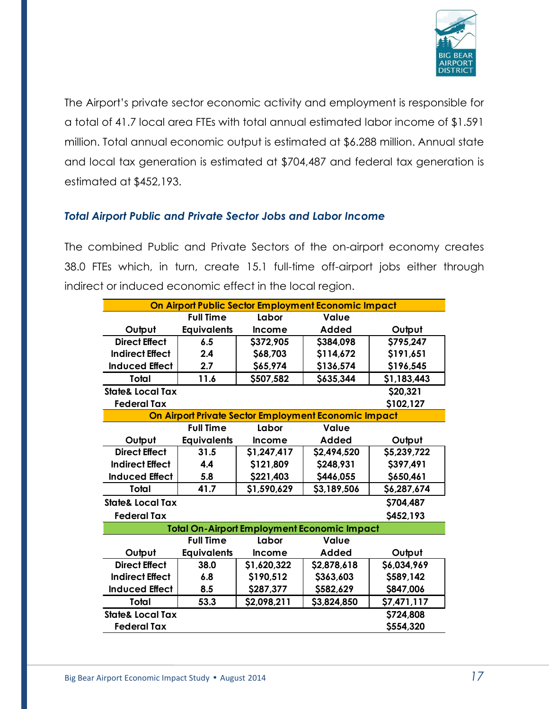

The Airport's private sector economic activity and employment is responsible for a total of 41.7 local area FTEs with total annual estimated labor income of \$1.591 million. Total annual economic output is estimated at \$6.288 million. Annual state and local tax generation is estimated at \$704,487 and federal tax generation is estimated at \$452,193.

### *Total Airport Public and Private Sector Jobs and Labor Income*

The combined Public and Private Sectors of the on-airport economy creates 38.0 FTEs which, in turn, create 15.1 full-time off-airport jobs either through indirect or induced economic effect in the local region.

| On Airport Public Sector Employment Economic Impact |                    |               |                                                      |             |
|-----------------------------------------------------|--------------------|---------------|------------------------------------------------------|-------------|
|                                                     | <b>Full Time</b>   | Labor         | Value                                                |             |
| Output                                              | <b>Equivalents</b> | <b>Income</b> | Added                                                | Output      |
| <b>Direct Effect</b>                                | 6.5                | \$372,905     | \$384,098                                            | \$795,247   |
| <b>Indirect Effect</b>                              | 2.4                | \$68,703      | \$114,672                                            | \$191,651   |
| <b>Induced Effect</b>                               | 2.7                | \$65,974      | \$136,574                                            | \$196,545   |
| Total                                               | 11.6               | \$507,582     | \$635,344                                            | \$1,183,443 |
| <b>State&amp; Local Tax</b>                         |                    |               |                                                      | \$20,321    |
| <b>Federal Tax</b>                                  |                    |               |                                                      | \$102,127   |
|                                                     |                    |               | On Airport Private Sector Employment Economic Impact |             |
|                                                     | <b>Full Time</b>   | Labor         | <b>Value</b>                                         |             |
| Output                                              | <b>Equivalents</b> | <b>Income</b> | <b>Added</b>                                         | Output      |
| <b>Direct Effect</b>                                | 31.5               | \$1,247,417   | \$2,494,520                                          | \$5,239,722 |
| <b>Indirect Effect</b>                              | 4.4                | \$121,809     | \$248,931                                            | \$397,491   |
| <b>Induced Effect</b>                               | 5.8                | \$221,403     | \$446,055                                            | \$650,461   |
| Total                                               | 41.7               | \$1,590,629   | \$3,189,506                                          | \$6,287,674 |
| <b>State&amp; Local Tax</b>                         |                    |               |                                                      | \$704,487   |
| <b>Federal Tax</b>                                  |                    |               |                                                      | \$452,193   |
|                                                     |                    |               | <b>Total On-Airport Employment Economic Impact</b>   |             |
|                                                     | <b>Full Time</b>   | Labor         | Value                                                |             |
| Output                                              | <b>Equivalents</b> | <b>Income</b> | Added                                                | Output      |
| <b>Direct Effect</b>                                | 38.0               | \$1,620,322   | \$2,878,618                                          | \$6,034,969 |
| <b>Indirect Effect</b>                              | 6.8                | \$190,512     | \$363,603                                            | \$589,142   |
| <b>Induced Effect</b>                               | 8.5                | \$287,377     | \$582,629                                            | \$847,006   |
| Total                                               | 53.3               | \$2,098,211   | \$3,824,850                                          | \$7,471,117 |
| <b>State&amp; Local Tax</b>                         |                    |               |                                                      | \$724,808   |
| <b>Federal Tax</b>                                  |                    |               |                                                      | \$554,320   |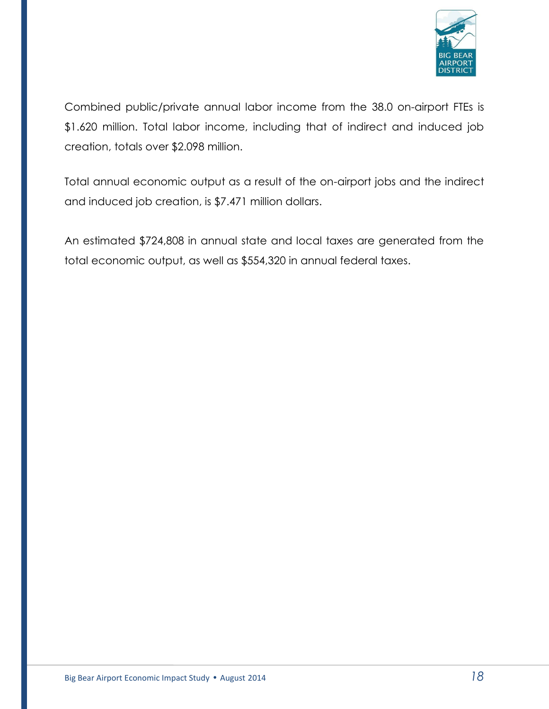

Combined public/private annual labor income from the 38.0 on-airport FTEs is \$1.620 million. Total labor income, including that of indirect and induced job creation, totals over \$2.098 million.

Total annual economic output as a result of the on-airport jobs and the indirect and induced job creation, is \$7.471 million dollars.

An estimated \$724,808 in annual state and local taxes are generated from the total economic output, as well as \$554,320 in annual federal taxes.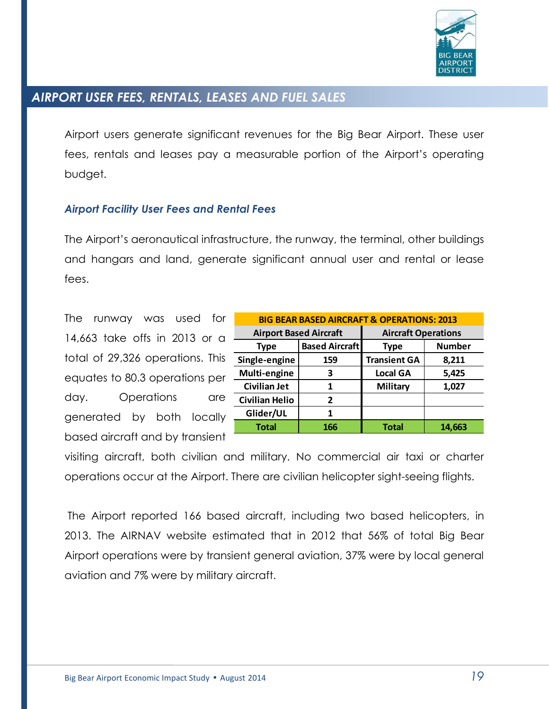

# *AIRPORT USER FEES, RENTALS, LEASES AND FUEL SALES*

Airport users generate significant revenues for the Big Bear Airport. These user fees, rentals and leases pay a measurable portion of the Airport's operating budget.

#### *Airport Facility User Fees and Rental Fees*

The Airport's aeronautical infrastructure, the runway, the terminal, other buildings and hangars and land, generate significant annual user and rental or lease fees.

The runway was used for 14,663 take offs in 2013 or a total of 29,326 operations. This equates to 80.3 operations per day. Operations are generated by both locally based aircraft and by transient

| <b>BIG BEAR BASED AIRCRAFT &amp; OPERATIONS: 2013</b> |                            |                            |               |  |
|-------------------------------------------------------|----------------------------|----------------------------|---------------|--|
| <b>Airport Based Aircraft</b>                         |                            | <b>Aircraft Operations</b> |               |  |
| <b>Type</b>                                           | <b>Based Aircraft</b>      | Type                       | <b>Number</b> |  |
| Single-engine                                         | <b>Transient GA</b><br>159 |                            | 8,211         |  |
| Multi-engine                                          | 3                          | <b>Local GA</b><br>5,425   |               |  |
| <b>Civilian Jet</b>                                   | 1                          | <b>Military</b>            | 1,027         |  |
| <b>Civilian Helio</b>                                 | 2                          |                            |               |  |
| Glider/UL                                             | 1                          |                            |               |  |
| <b>Total</b>                                          | 166                        | <b>Total</b>               | 14,663        |  |

visiting aircraft, both civilian and military. No commercial air taxi or charter operations occur at the Airport. There are civilian helicopter sight-seeing flights.

The Airport reported 166 based aircraft, including two based helicopters, in 2013. The AIRNAV website estimated that in 2012 that 56% of total Big Bear Airport operations were by transient general aviation, 37% were by local general aviation and 7% were by military aircraft.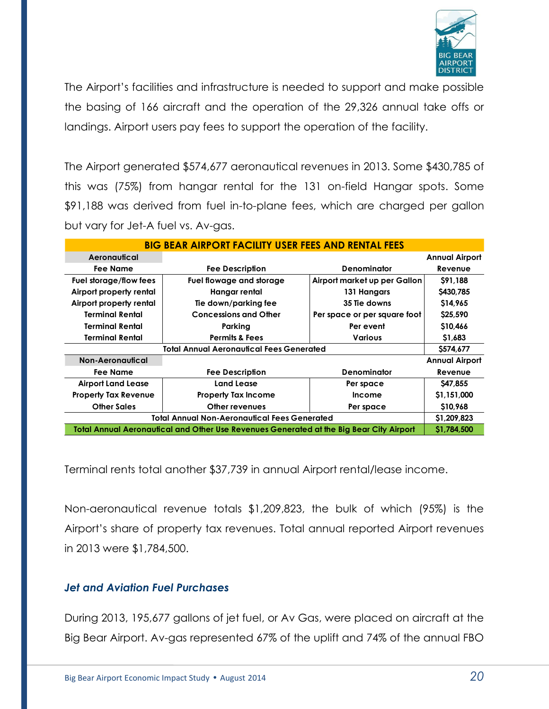

The Airport's facilities and infrastructure is needed to support and make possible the basing of 166 aircraft and the operation of the 29,326 annual take offs or landings. Airport users pay fees to support the operation of the facility.

The Airport generated \$574,677 aeronautical revenues in 2013. Some \$430,785 of this was (75%) from hangar rental for the 131 on-field Hangar spots. Some \$91,188 was derived from fuel in-to-plane fees, which are charged per gallon but vary for Jet-A fuel vs. Av-gas.

| <b>BIG BEAR AIRPORT FACILITY USER FEES AND RENTAL FEES</b> |                                                                                         |                              |                       |  |
|------------------------------------------------------------|-----------------------------------------------------------------------------------------|------------------------------|-----------------------|--|
| Aeronautical                                               |                                                                                         |                              | <b>Annual Airport</b> |  |
| Fee Name                                                   | <b>Fee Description</b>                                                                  | <b>Denominator</b>           | Revenue               |  |
| Fuel storage/flow fees                                     | Fuel flowage and storage                                                                | Airport market up per Gallon | \$91.188              |  |
| Airport property rental                                    | Hangar rental                                                                           | 131 Hangars                  | \$430,785             |  |
| Airport property rental                                    | Tie down/parking fee                                                                    | 35 Tie downs                 | \$14,965              |  |
| <b>Terminal Rental</b>                                     | <b>Concessions and Other</b>                                                            | Per space or per square foot | \$25,590              |  |
| Terminal Rental                                            | Parking                                                                                 | Per event                    | \$10,466              |  |
| <b>Terminal Rental</b>                                     | <b>Permits &amp; Fees</b>                                                               | <b>Various</b>               | \$1,683               |  |
| <b>Total Annual Aeronautical Fees Generated</b>            |                                                                                         |                              |                       |  |
| Non-Aeronautical                                           |                                                                                         |                              | <b>Annual Airport</b> |  |
| Fee Name                                                   | <b>Fee Description</b>                                                                  | <b>Denominator</b>           | Revenue               |  |
| <b>Airport Land Lease</b>                                  | Land Lease                                                                              | Per space                    | \$47,855              |  |
| <b>Property Tax Revenue</b>                                | <b>Property Tax Income</b>                                                              | Income                       | \$1,151,000           |  |
| <b>Other Sales</b>                                         | Other revenues                                                                          | Per space                    | \$10,968              |  |
| <b>Total Annual Non-Aeronautical Fees Generated</b>        |                                                                                         |                              |                       |  |
|                                                            | Total Annual Aeronautical and Other Use Revenues Generated at the Big Bear City Airport |                              | \$1,784,500           |  |

Terminal rents total another \$37,739 in annual Airport rental/lease income.

Non-aeronautical revenue totals \$1,209,823, the bulk of which (95%) is the Airport's share of property tax revenues. Total annual reported Airport revenues in 2013 were \$1,784,500.

### *Jet and Aviation Fuel Purchases*

During 2013, 195,677 gallons of jet fuel, or Av Gas, were placed on aircraft at the Big Bear Airport. Av-gas represented 67% of the uplift and 74% of the annual FBO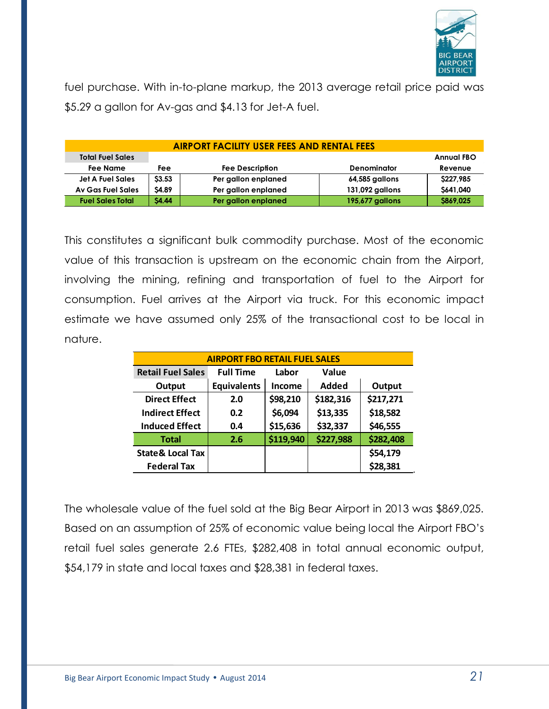

fuel purchase. With in-to-plane markup, the 2013 average retail price paid was \$5.29 a gallon for Av-gas and \$4.13 for Jet-A fuel.

| <b>AIRPORT FACILITY USER FEES AND RENTAL FEES</b> |              |                        |                    |                   |  |
|---------------------------------------------------|--------------|------------------------|--------------------|-------------------|--|
| <b>Total Fuel Sales</b>                           |              |                        |                    | <b>Annual FBO</b> |  |
| Fee Name                                          | Fee          | <b>Fee Description</b> | <b>Denominator</b> | Revenue           |  |
| <b>Jet A Fuel Sales</b>                           | \$3.53       | Per gallon enplaned    | 64,585 gallons     | \$227,985         |  |
| Av Gas Fuel Sales                                 | <b>S4.89</b> | Per gallon enplaned    | 131,092 gallons    | \$641,040         |  |
| <b>Fuel Sales Total</b>                           | <b>S4.44</b> | Per gallon enplaned    | 195,677 gallons    | S869,025          |  |

This constitutes a significant bulk commodity purchase. Most of the economic value of this transaction is upstream on the economic chain from the Airport, involving the mining, refining and transportation of fuel to the Airport for consumption. Fuel arrives at the Airport via truck. For this economic impact estimate we have assumed only 25% of the transactional cost to be local in nature.

| <b>AIRPORT FBO RETAIL FUEL SALES</b> |                    |           |           |           |  |
|--------------------------------------|--------------------|-----------|-----------|-----------|--|
| <b>Retail Fuel Sales</b>             | <b>Full Time</b>   | Labor     | Value     |           |  |
| Output                               | <b>Equivalents</b> | Income    | Added     | Output    |  |
| <b>Direct Effect</b>                 | 2.0                | \$98,210  | \$182,316 | \$217,271 |  |
| Indirect Effect                      | 0.2                | \$6,094   | \$13,335  | \$18,582  |  |
| <b>Induced Effect</b>                | 0.4                | \$15,636  | \$32,337  | \$46,555  |  |
| <b>Total</b>                         | 2.6                | \$119,940 | \$227,988 | \$282,408 |  |
| <b>State &amp; Local Tax</b>         |                    |           |           | \$54,179  |  |
| <b>Federal Tax</b>                   |                    |           |           | \$28,381  |  |

The wholesale value of the fuel sold at the Big Bear Airport in 2013 was \$869,025. Based on an assumption of 25% of economic value being local the Airport FBO's retail fuel sales generate 2.6 FTEs, \$282,408 in total annual economic output, \$54,179 in state and local taxes and \$28,381 in federal taxes.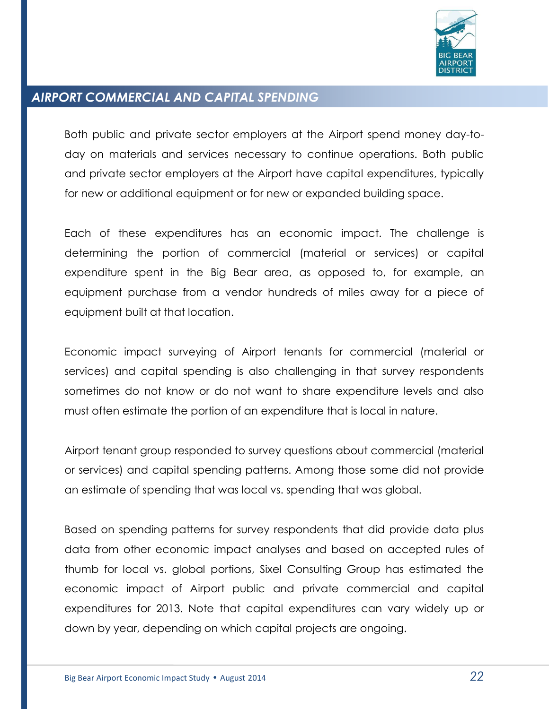

# *AIRPORT COMMERCIAL AND CAPITAL SPENDING*

Both public and private sector employers at the Airport spend money day-today on materials and services necessary to continue operations. Both public and private sector employers at the Airport have capital expenditures, typically for new or additional equipment or for new or expanded building space.

Each of these expenditures has an economic impact. The challenge is determining the portion of commercial (material or services) or capital expenditure spent in the Big Bear area, as opposed to, for example, an equipment purchase from a vendor hundreds of miles away for a piece of equipment built at that location.

Economic impact surveying of Airport tenants for commercial (material or services) and capital spending is also challenging in that survey respondents sometimes do not know or do not want to share expenditure levels and also must often estimate the portion of an expenditure that is local in nature.

Airport tenant group responded to survey questions about commercial (material or services) and capital spending patterns. Among those some did not provide an estimate of spending that was local vs. spending that was global.

Based on spending patterns for survey respondents that did provide data plus data from other economic impact analyses and based on accepted rules of thumb for local vs. global portions, Sixel Consulting Group has estimated the economic impact of Airport public and private commercial and capital expenditures for 2013. Note that capital expenditures can vary widely up or down by year, depending on which capital projects are ongoing.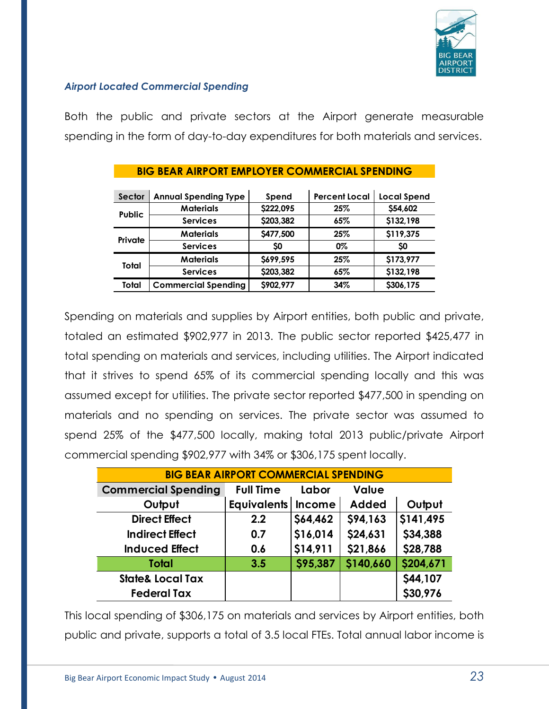

#### *Airport Located Commercial Spending*

Both the public and private sectors at the Airport generate measurable spending in the form of day-to-day expenditures for both materials and services.

| Sector        | <b>Annual Spending Type</b> | Spend     | <b>Percent Local</b> | <b>Local Spend</b> |
|---------------|-----------------------------|-----------|----------------------|--------------------|
|               | <b>Materials</b>            | \$222,095 | 25%                  | \$54,602           |
| <b>Public</b> | <b>Services</b>             | \$203,382 | 65%                  | \$132,198          |
| Private       | <b>Materials</b>            | \$477,500 | 25%                  | \$119,375          |
|               | <b>Services</b>             | SO        | 0%                   | SO                 |
| Total         | <b>Materials</b>            | \$699,595 | 25%                  | \$173,977          |
|               | <b>Services</b>             | \$203,382 | 65%                  | \$132,198          |
| Total         | <b>Commercial Spending</b>  | \$902,977 | 34%                  | \$306,175          |

#### **BIG BEAR AIRPORT EMPLOYER COMMERCIAL SPENDING**

Spending on materials and supplies by Airport entities, both public and private, totaled an estimated \$902,977 in 2013. The public sector reported \$425,477 in total spending on materials and services, including utilities. The Airport indicated that it strives to spend 65% of its commercial spending locally and this was assumed except for utilities. The private sector reported \$477,500 in spending on materials and no spending on services. The private sector was assumed to spend 25% of the \$477,500 locally, making total 2013 public/private Airport commercial spending \$902,977 with 34% or \$306,175 spent locally.

| <b>BIG BEAR AIRPORT COMMERCIAL SPENDING</b> |                      |          |              |           |  |
|---------------------------------------------|----------------------|----------|--------------|-----------|--|
| <b>Commercial Spending</b>                  | <b>Full Time</b>     | Labor    | Value        |           |  |
| Output                                      | Equivalents   Income |          | <b>Added</b> | Output    |  |
| <b>Direct Effect</b>                        | 2.2                  | \$64,462 | \$94,163     | \$141,495 |  |
| <b>Indirect Effect</b>                      | 0.7                  | \$16,014 | \$24,631     | \$34,388  |  |
| <b>Induced Effect</b>                       | 0.6                  | \$14,911 | \$21,866     | \$28,788  |  |
| <b>Total</b>                                | 3.5                  | \$95,387 | \$140,660    | \$204,671 |  |
| <b>State&amp; Local Tax</b>                 |                      |          |              | \$44,107  |  |
| <b>Federal Tax</b>                          |                      |          |              | \$30,976  |  |

This local spending of \$306,175 on materials and services by Airport entities, both public and private, supports a total of 3.5 local FTEs. Total annual labor income is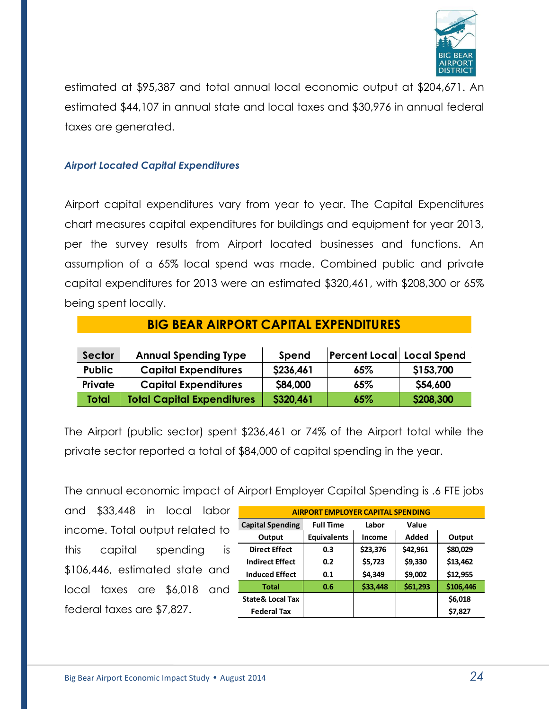

estimated at \$95,387 and total annual local economic output at \$204,671. An estimated \$44,107 in annual state and local taxes and \$30,976 in annual federal taxes are generated.

#### *Airport Located Capital Expenditures*

Airport capital expenditures vary from year to year. The Capital Expenditures chart measures capital expenditures for buildings and equipment for year 2013, per the survey results from Airport located businesses and functions. An assumption of a 65% local spend was made. Combined public and private capital expenditures for 2013 were an estimated \$320,461, with \$208,300 or 65% being spent locally.

| Sector         | <b>Annual Spending Type</b>       | Spend     | $ \mathsf{Percent}\,\mathsf{Local} $ Local Spend |           |
|----------------|-----------------------------------|-----------|--------------------------------------------------|-----------|
| <b>Public</b>  | <b>Capital Expenditures</b>       | \$236,461 | 65%                                              | \$153,700 |
| <b>Private</b> | <b>Capital Expenditures</b>       | \$84,000  | 65%                                              | \$54,600  |
| <b>Total</b>   | <b>Total Capital Expenditures</b> | \$320,461 | 65%                                              | \$208,300 |

**BIG BEAR AIRPORT CAPITAL EXPENDITURES**

The Airport (public sector) spent \$236,461 or 74% of the Airport total while the private sector reported a total of \$84,000 of capital spending in the year.

The annual economic impact of Airport Employer Capital Spending is .6 FTE jobs

and \$33,448 in local labor income. Total output related to this capital spending is \$106,446, estimated state and local taxes are \$6,018 and federal taxes are \$7,827.

| <b>AIRPORT EMPLOYER CAPITAL SPENDING</b> |                    |          |          |           |  |
|------------------------------------------|--------------------|----------|----------|-----------|--|
| <b>Capital Spending</b>                  | <b>Full Time</b>   | Labor    | Value    |           |  |
| Output                                   | <b>Equivalents</b> | Income   | Added    | Output    |  |
| <b>Direct Effect</b>                     | 0.3                | \$23,376 | \$42,961 | \$80,029  |  |
| <b>Indirect Effect</b>                   | 0.2                | \$5,723  | \$9,330  | \$13,462  |  |
| <b>Induced Effect</b>                    | 0.1                | \$4,349  | \$9,002  | \$12,955  |  |
| Total                                    | 0.6                | \$33,448 | \$61,293 | \$106,446 |  |
| <b>State &amp; Local Tax</b>             |                    |          |          | \$6,018   |  |
| <b>Federal Tax</b>                       |                    |          |          | \$7,827   |  |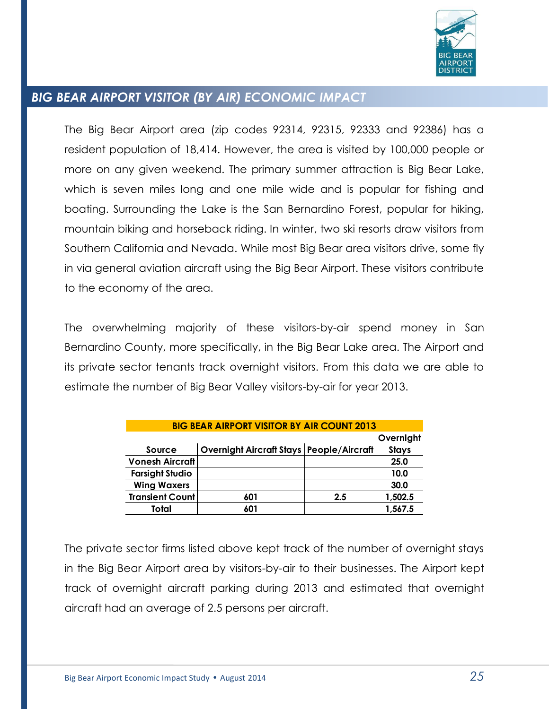

# *BIG BEAR AIRPORT VISITOR (BY AIR) ECONOMIC IMPACT*

The Big Bear Airport area (zip codes 92314, 92315, 92333 and 92386) has a resident population of 18,414. However, the area is visited by 100,000 people or more on any given weekend. The primary summer attraction is Big Bear Lake, which is seven miles long and one mile wide and is popular for fishing and boating. Surrounding the Lake is the San Bernardino Forest, popular for hiking, mountain biking and horseback riding. In winter, two ski resorts draw visitors from Southern California and Nevada. While most Big Bear area visitors drive, some fly in via general aviation aircraft using the Big Bear Airport. These visitors contribute to the economy of the area.

The overwhelming majority of these visitors-by-air spend money in San Bernardino County, more specifically, in the Big Bear Lake area. The Airport and its private sector tenants track overnight visitors. From this data we are able to estimate the number of Big Bear Valley visitors-by-air for year 2013.

| <b>BIG BEAR AIRPORT VISITOR BY AIR COUNT 2013</b> |                                          |     |              |  |
|---------------------------------------------------|------------------------------------------|-----|--------------|--|
|                                                   |                                          |     | Overnight    |  |
| Source                                            | Overnight Aircraft Stays People/Aircraft |     | <b>Stays</b> |  |
| <b>Vonesh Aircraft</b>                            |                                          |     | 25.0         |  |
| <b>Farsight Studio</b>                            |                                          |     | 10.0         |  |
| <b>Wing Waxers</b>                                |                                          |     | 30.0         |  |
| <b>Transient Count</b>                            | 601                                      | 2.5 | 1,502.5      |  |
| Total                                             | 601                                      |     | 1,567.5      |  |

The private sector firms listed above kept track of the number of overnight stays in the Big Bear Airport area by visitors-by-air to their businesses. The Airport kept track of overnight aircraft parking during 2013 and estimated that overnight aircraft had an average of 2.5 persons per aircraft.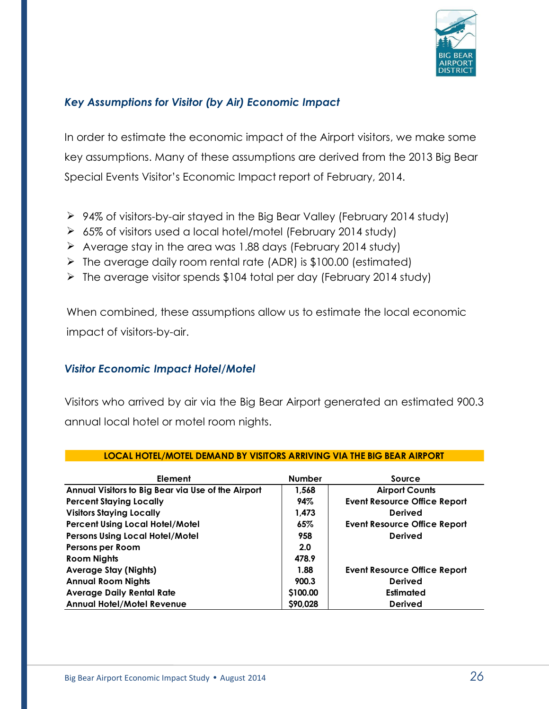

### *Key Assumptions for Visitor (by Air) Economic Impact*

In order to estimate the economic impact of the Airport visitors, we make some key assumptions. Many of these assumptions are derived from the 2013 Big Bear Special Events Visitor's Economic Impact report of February, 2014.

- 94% of visitors-by-air stayed in the Big Bear Valley (February 2014 study)
- 65% of visitors used a local hotel/motel (February 2014 study)
- $\triangleright$  Average stay in the area was 1.88 days (February 2014 study)
- $\triangleright$  The average daily room rental rate (ADR) is \$100.00 (estimated)
- $\triangleright$  The average visitor spends \$104 total per day (February 2014 study)

When combined, these assumptions allow us to estimate the local economic impact of visitors-by-air.

### *Visitor Economic Impact Hotel/Motel*

Visitors who arrived by air via the Big Bear Airport generated an estimated 900.3 annual local hotel or motel room nights.

| Element                                            | <b>Number</b> | Source                              |
|----------------------------------------------------|---------------|-------------------------------------|
| Annual Visitors to Big Bear via Use of the Airport | 1,568         | <b>Airport Counts</b>               |
| <b>Percent Staying Locally</b>                     | 94%           | <b>Event Resource Office Report</b> |
| <b>Visitors Staying Locally</b>                    | 1.473         | <b>Derived</b>                      |
| <b>Percent Using Local Hotel/Motel</b>             | 65%           | <b>Event Resource Office Report</b> |
| <b>Persons Using Local Hotel/Motel</b>             | 958           | <b>Derived</b>                      |
| Persons per Room                                   | 2.0           |                                     |
| <b>Room Nights</b>                                 | 478.9         |                                     |
| <b>Average Stay (Nights)</b>                       | 1.88          | <b>Event Resource Office Report</b> |
| <b>Annual Room Nights</b>                          | 900.3         | <b>Derived</b>                      |
| <b>Average Daily Rental Rate</b>                   | \$100.00      | <b>Estimated</b>                    |
| <b>Annual Hotel/Motel Revenue</b>                  | \$90,028      | <b>Derived</b>                      |

#### **LOCAL HOTEL/MOTEL DEMAND BY VISITORS ARRIVING VIA THE BIG BEAR AIRPORT**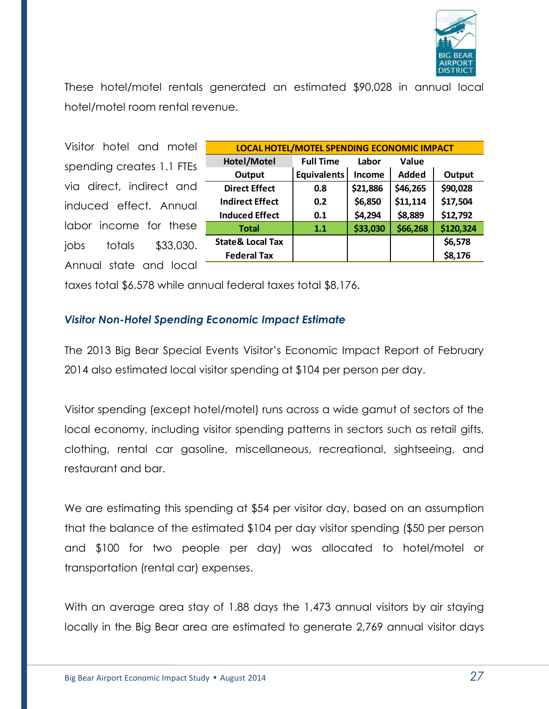

These hotel/motel rentals generated an estimated \$90,028 in annual local hotel/motel room rental revenue.

Visitor hotel and motel spending creates 1.1 FTEs via direct, indirect and induced effect. Annual labor income for these jobs totals \$33,030. Annual state and local

| LOCAL HOTEL/MOTEL SPENDING ECONOMIC IMPACT |                              |          |              |           |  |
|--------------------------------------------|------------------------------|----------|--------------|-----------|--|
| Hotel/Motel                                | <b>Full Time</b><br>Labor    |          | Value        |           |  |
| Output                                     | <b>Equivalents</b><br>Income |          | <b>Added</b> | Output    |  |
| <b>Direct Effect</b>                       | 0.8                          | \$21,886 | \$46,265     | \$90,028  |  |
| <b>Indirect Effect</b>                     | 0.2                          | \$6,850  | \$11,114     | \$17,504  |  |
| <b>Induced Effect</b>                      | 0.1                          | \$4,294  | \$8,889      | \$12,792  |  |
| <b>Total</b>                               | 1.1                          | \$33,030 | \$66,268     | \$120,324 |  |
| <b>State &amp; Local Tax</b>               |                              |          |              | \$6,578   |  |
| <b>Federal Tax</b>                         |                              |          |              | \$8,176   |  |

taxes total \$6,578 while annual federal taxes total \$8,176.

#### *Visitor Non-Hotel Spending Economic Impact Estimate*

The 2013 Big Bear Special Events Visitor's Economic Impact Report of February 2014 also estimated local visitor spending at \$104 per person per day.

Visitor spending (except hotel/motel) runs across a wide gamut of sectors of the local economy, including visitor spending patterns in sectors such as retail gifts, clothing, rental car gasoline, miscellaneous, recreational, sightseeing, and restaurant and bar.

We are estimating this spending at \$54 per visitor day, based on an assumption that the balance of the estimated \$104 per day visitor spending (\$50 per person and \$100 for two people per day) was allocated to hotel/motel or transportation (rental car) expenses.

With an average area stay of 1.88 days the 1,473 annual visitors by air staying locally in the Big Bear area are estimated to generate 2,769 annual visitor days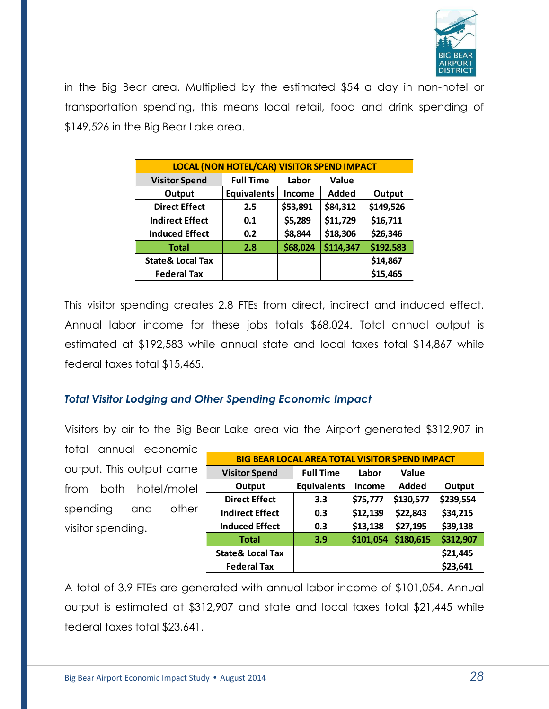

in the Big Bear area. Multiplied by the estimated \$54 a day in non-hotel or transportation spending, this means local retail, food and drink spending of \$149,526 in the Big Bear Lake area.

| <b>LOCAL (NON HOTEL/CAR) VISITOR SPEND IMPACT</b> |                           |          |           |           |  |
|---------------------------------------------------|---------------------------|----------|-----------|-----------|--|
| <b>Visitor Spend</b>                              | <b>Full Time</b><br>Labor |          | Value     |           |  |
| Output                                            | <b>Equivalents</b>        | Income   | Added     | Output    |  |
| <b>Direct Effect</b>                              | 2.5                       | \$53,891 | \$84,312  | \$149,526 |  |
| <b>Indirect Effect</b>                            | 0.1                       | \$5,289  | \$11,729  | \$16,711  |  |
| <b>Induced Effect</b>                             | 0.2                       | \$8,844  | \$18,306  | \$26,346  |  |
| <b>Total</b>                                      | 2.8                       | \$68,024 | \$114,347 | \$192,583 |  |
| <b>State &amp; Local Tax</b>                      |                           |          |           | \$14,867  |  |
| <b>Federal Tax</b>                                |                           |          |           | \$15,465  |  |

This visitor spending creates 2.8 FTEs from direct, indirect and induced effect. Annual labor income for these jobs totals \$68,024. Total annual output is estimated at \$192,583 while annual state and local taxes total \$14,867 while federal taxes total \$15,465.

#### *Total Visitor Lodging and Other Spending Economic Impact*

Visitors by air to the Big Bear Lake area via the Airport generated \$312,907 in

total annual economic output. This output came from both hotel/motel spending and other visitor spending.

| <b>BIG BEAR LOCAL AREA TOTAL VISITOR SPEND IMPACT</b> |                    |           |              |           |  |
|-------------------------------------------------------|--------------------|-----------|--------------|-----------|--|
| <b>Visitor Spend</b>                                  | <b>Full Time</b>   | Labor     | Value        |           |  |
| Output                                                | <b>Equivalents</b> | Income    | <b>Added</b> | Output    |  |
| <b>Direct Effect</b>                                  | 3.3                | \$75,777  | \$130,577    | \$239,554 |  |
| <b>Indirect Effect</b>                                | 0.3                | \$12,139  | \$22,843     | \$34,215  |  |
| <b>Induced Effect</b>                                 | 0.3                | \$13,138  | \$27,195     | \$39,138  |  |
| Total                                                 | 3.9                | \$101,054 | \$180,615    | \$312,907 |  |
| <b>State &amp; Local Tax</b>                          |                    |           |              | \$21,445  |  |
| <b>Federal Tax</b>                                    |                    |           |              | \$23,641  |  |

A total of 3.9 FTEs are generated with annual labor income of \$101,054. Annual output is estimated at \$312,907 and state and local taxes total \$21,445 while federal taxes total \$23,641.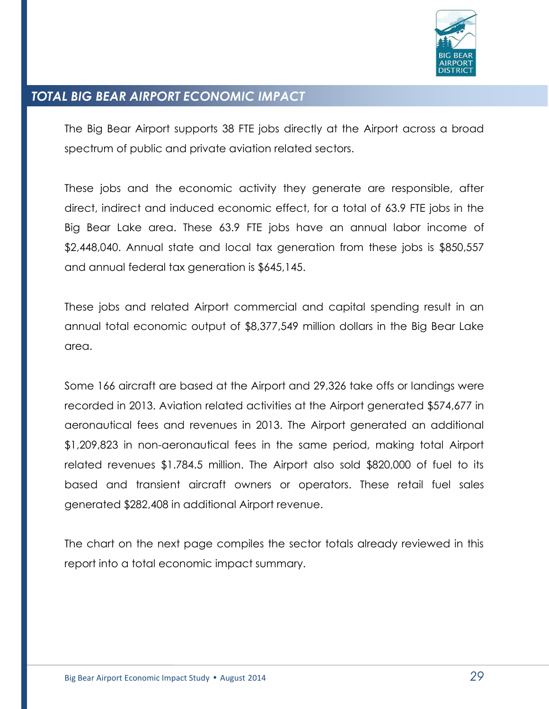

### *TOTAL BIG BEAR AIRPORT ECONOMIC IMPACT*

The Big Bear Airport supports 38 FTE jobs directly at the Airport across a broad spectrum of public and private aviation related sectors.

These jobs and the economic activity they generate are responsible, after direct, indirect and induced economic effect, for a total of 63.9 FTE jobs in the Big Bear Lake area. These 63.9 FTE jobs have an annual labor income of \$2,448,040. Annual state and local tax generation from these jobs is \$850,557 and annual federal tax generation is \$645,145.

These jobs and related Airport commercial and capital spending result in an annual total economic output of \$8,377,549 million dollars in the Big Bear Lake area.

Some 166 aircraft are based at the Airport and 29,326 take offs or landings were recorded in 2013. Aviation related activities at the Airport generated \$574,677 in aeronautical fees and revenues in 2013. The Airport generated an additional \$1,209,823 in non-aeronautical fees in the same period, making total Airport related revenues \$1.784.5 million. The Airport also sold \$820,000 of fuel to its based and transient aircraft owners or operators. These retail fuel sales generated \$282,408 in additional Airport revenue.

The chart on the next page compiles the sector totals already reviewed in this report into a total economic impact summary.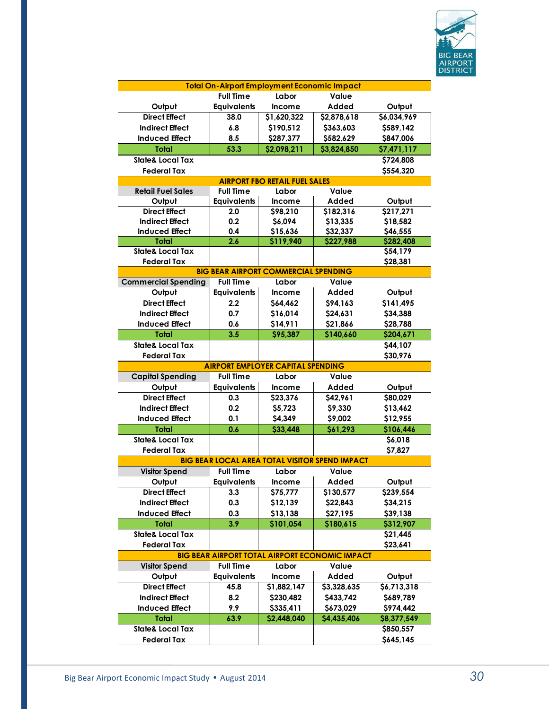

| <b>Total On-Airport Employment Economic Impact</b>    |                    |                                                |             |             |
|-------------------------------------------------------|--------------------|------------------------------------------------|-------------|-------------|
|                                                       | <b>Full Time</b>   | Labor                                          | Value       |             |
| Output                                                | <b>Equivalents</b> | <b>Income</b>                                  | Added       | Output      |
| <b>Direct Effect</b>                                  | 38.0               | \$1,620,322                                    | \$2,878,618 | \$6,034,969 |
| <b>Indirect Effect</b>                                | 6.8                | \$190,512                                      | \$363,603   | \$589,142   |
| <b>Induced Effect</b>                                 | 8.5                | \$287,377                                      | \$582,629   | \$847,006   |
| <b>Total</b>                                          | 53.3               | \$2,098,211                                    | \$3,824,850 | \$7,471,117 |
| <b>State&amp; Local Tax</b>                           |                    |                                                |             | \$724,808   |
| <b>Federal Tax</b>                                    |                    |                                                |             | \$554,320   |
|                                                       |                    | <b>AIRPORT FBO RETAIL FUEL SALES</b>           |             |             |
| <b>Retail Fuel Sales</b>                              | <b>Full Time</b>   | Labor                                          | Value       |             |
| Output                                                | <b>Equivalents</b> | <b>Income</b>                                  | Added       | Output      |
| <b>Direct Effect</b>                                  | 2.0                | \$98,210                                       | \$182,316   | \$217,271   |
| <b>Indirect Effect</b>                                | 0.2                | \$6,094                                        | \$13,335    | \$18,582    |
| <b>Induced Effect</b>                                 | 0.4                | \$15,636                                       | \$32,337    | \$46,555    |
| Total                                                 | 2.6                | \$119,940                                      | \$227,988   | \$282,408   |
| <b>State&amp; Local Tax</b>                           |                    |                                                |             | \$54,179    |
| <b>Federal Tax</b>                                    |                    |                                                |             | \$28,381    |
|                                                       |                    | <b>BIG BEAR AIRPORT COMMERCIAL SPENDING</b>    |             |             |
| <b>Commercial Spending</b>                            | <b>Full Time</b>   | Labor                                          | Value       |             |
| Output                                                | <b>Equivalents</b> | <b>Income</b>                                  | Added       | Output      |
| <b>Direct Effect</b>                                  | 2.2                | \$64,462                                       | \$94,163    | \$141,495   |
| <b>Indirect Effect</b>                                | 0.7                | \$16,014                                       | \$24,631    | \$34,388    |
| <b>Induced Effect</b>                                 | 0.6                | \$14,911                                       | \$21,866    | \$28,788    |
| <b>Total</b>                                          | 3.5                | \$95,387                                       | \$140,660   | \$204,671   |
| <b>State&amp; Local Tax</b>                           |                    |                                                |             |             |
| <b>Federal Tax</b>                                    |                    |                                                |             | \$44,107    |
|                                                       |                    |                                                |             | \$30,976    |
|                                                       |                    | <b>AIRPORT EMPLOYER CAPITAL SPENDING</b>       |             |             |
| <b>Capital Spending</b>                               | <b>Full Time</b>   | Labor                                          | Value       |             |
| Output                                                | <b>Equivalents</b> | <b>Income</b>                                  | Added       | Output      |
| <b>Direct Effect</b>                                  | 0.3                | \$23,376                                       | \$42,961    | \$80,029    |
| <b>Indirect Effect</b>                                | 0.2                | \$5,723                                        | \$9,330     | \$13,462    |
| <b>Induced Effect</b>                                 | 0.1                | \$4,349                                        | \$9,002     | \$12,955    |
| Total                                                 | 0.6                | \$33,448                                       | \$61,293    | \$106,446   |
| <b>State&amp; Local Tax</b>                           |                    |                                                |             | \$6,018     |
| <b>Federal Tax</b>                                    |                    |                                                |             | \$7,827     |
|                                                       |                    | BIG BEAR LOCAL AREA TOTAL VISITOR SPEND IMPACT |             |             |
| <b>Visitor Spend</b>                                  | <b>Full Time</b>   | Labor                                          | Value       |             |
| Output                                                | <b>Equivalents</b> | Income                                         | Added       | Output      |
| <b>Direct Effect</b>                                  | 3.3                | \$75,777                                       | \$130,577   | \$239,554   |
| <b>Indirect Effect</b>                                | 0.3                | \$12,139                                       | \$22,843    | \$34,215    |
| <b>Induced Effect</b>                                 | 0.3                | \$13,138                                       | \$27,195    | \$39,138    |
| <b>Total</b>                                          | 3.9                | \$101,054                                      | \$180,615   | \$312,907   |
| <b>State&amp; Local Tax</b>                           |                    |                                                |             | \$21,445    |
| <b>Federal Tax</b>                                    |                    |                                                |             | \$23,641    |
| <b>BIG BEAR AIRPORT TOTAL AIRPORT ECONOMIC IMPACT</b> |                    |                                                |             |             |
| <b>Visitor Spend</b>                                  | <b>Full Time</b>   | Labor                                          | Value       |             |
| Output                                                | <b>Equivalents</b> | Income                                         | Added       | Output      |
| <b>Direct Effect</b>                                  | 45.8               | \$1,882,147                                    | \$3,328,635 | \$6,713,318 |
| <b>Indirect Effect</b>                                | 8.2                | \$230,482                                      | \$433,742   | \$689,789   |
| <b>Induced Effect</b>                                 | 9.9                | \$335,411                                      | \$673,029   | \$974,442   |
| <b>Total</b>                                          | 63.9               | \$2,448,040                                    | \$4,435,406 | \$8,377,549 |
| <b>State&amp; Local Tax</b>                           |                    |                                                |             | \$850,557   |
| <b>Federal Tax</b>                                    |                    |                                                |             | \$645,145   |
|                                                       |                    |                                                |             |             |